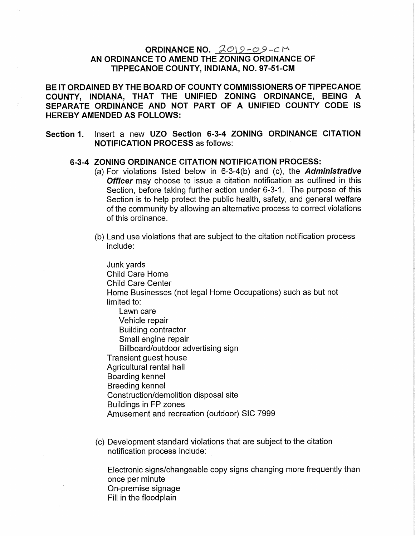## ORDINANCE NO.  $2019 - 09 - C$ M AN ORDINANCE TO AMEND THE ZONING ORDINANCE OF TIPPECANOE COUNTY, INDIANA, NO. 97-51-CM

BE IT ORDAINED BY THE BOARD OF COUNTY COMMISSIONERS OF TIPPECANOE COUNTY, INDIANA, THAT THE UNIFIED ZONING ORDINANCE, BEING A SEPARATE ORDINANCE AND NOT PART OF A UNIFIED COUNTY CODE IS HEREBY AMENDED AS FOLLOWS:

Section 1. Insert <sup>a</sup> new UZO Section 6-3-4 ZONING ORDINANCE CITATION NOTIFICATION PROCESS as follows: '

## 6-3-4 ZONING ORDINANCE CITATION NOTIFICATION PROCESS:

- (a) For violations listed below in  $6-3-4(b)$  and (c), the Administrative Officer may choose to issue a citation notification as outlined in this Section, before taking further action under 6-3-1. The purpose of this Section is to help protect the public health, safety, and general welfare of the community by allowing an alternative process to correct violations of this ordinance.
- (b) Land use violations that are subject to the citation notification process include:

Junk yards Child Care Home Child Care Center Home Businesses (not legal Home Occupations) such as but not limited to: Lawn care Vehicle repair Building contractor Small engine repair Billboard/outdoor advertising sign Transient guest house Agricultural rental hall Boarding kennel Breeding kennel Construction/demolition disposal site Buildings in FP zones Amusement and recreation (outdoor) SIC 7999

(C) Development standard violations that are subject to the Citation notification process include: A

Electronic signs/Changeable copy signs Changing more frequently than once per minute On-premise signage Fill in the floodplain